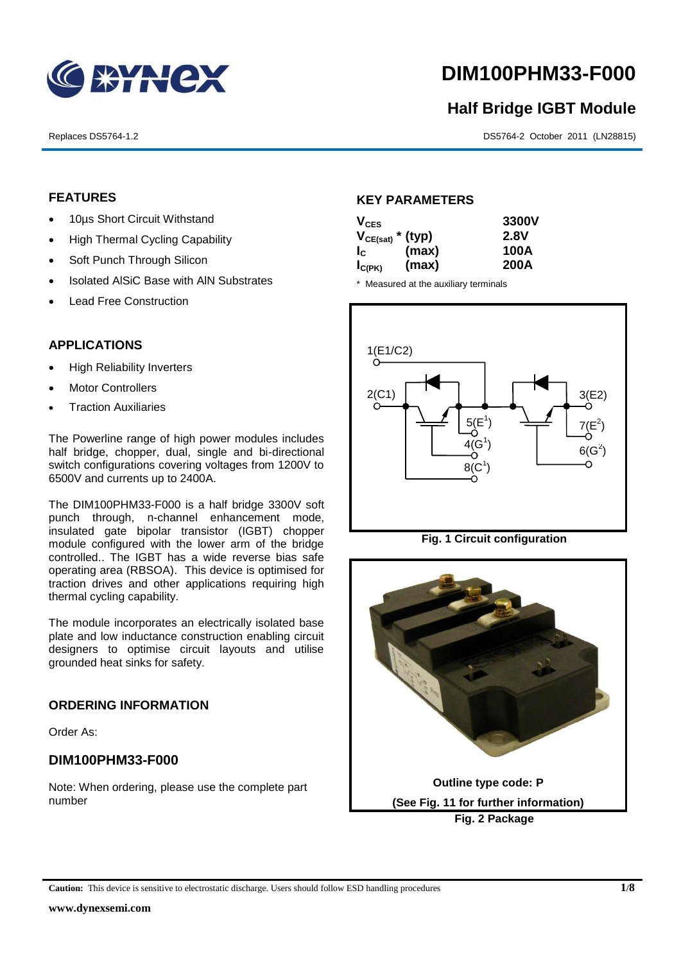

# **DIM100PHM33-F000**

# **Half Bridge IGBT Module**

Replaces DS5764-1.2 DS5764-2 October 2011 (LN28815)

# **FEATURES**

- 10us Short Circuit Withstand
- High Thermal Cycling Capability
- Soft Punch Through Silicon
- Isolated AISiC Base with AIN Substrates
- Lead Free Construction

# **APPLICATIONS**

- High Reliability Inverters
- Motor Controllers
- Traction Auxiliaries

The Powerline range of high power modules includes half bridge, chopper, dual, single and bi-directional switch configurations covering voltages from 1200V to 6500V and currents up to 2400A.

The DIM100PHM33-F000 is a half bridge 3300V soft punch through, n-channel enhancement mode, insulated gate bipolar transistor (IGBT) chopper module configured with the lower arm of the bridge controlled.. The IGBT has a wide reverse bias safe operating area (RBSOA). This device is optimised for traction drives and other applications requiring high thermal cycling capability.

The module incorporates an electrically isolated base plate and low inductance construction enabling circuit designers to optimise circuit layouts and utilise grounded heat sinks for safety.

## **ORDERING INFORMATION**

Order As:

# **DIM100PHM33-F000**

Note: When ordering, please use the complete part number

# **KEY PARAMETERS**

| $V_{CES}$             |       | 3300V       |
|-----------------------|-------|-------------|
| $V_{CE(sat)}$ * (typ) |       | <b>2.8V</b> |
| $I_{\rm c}$           | (max) | 100A        |
| $I_{C(PK)}$           | (max) | 200A        |

\* Measured at the auxiliary terminals



**Fig. 1 Circuit configuration**



**Caution:** This device is sensitive to electrostatic discharge. Users should follow ESD handling procedures **1/8**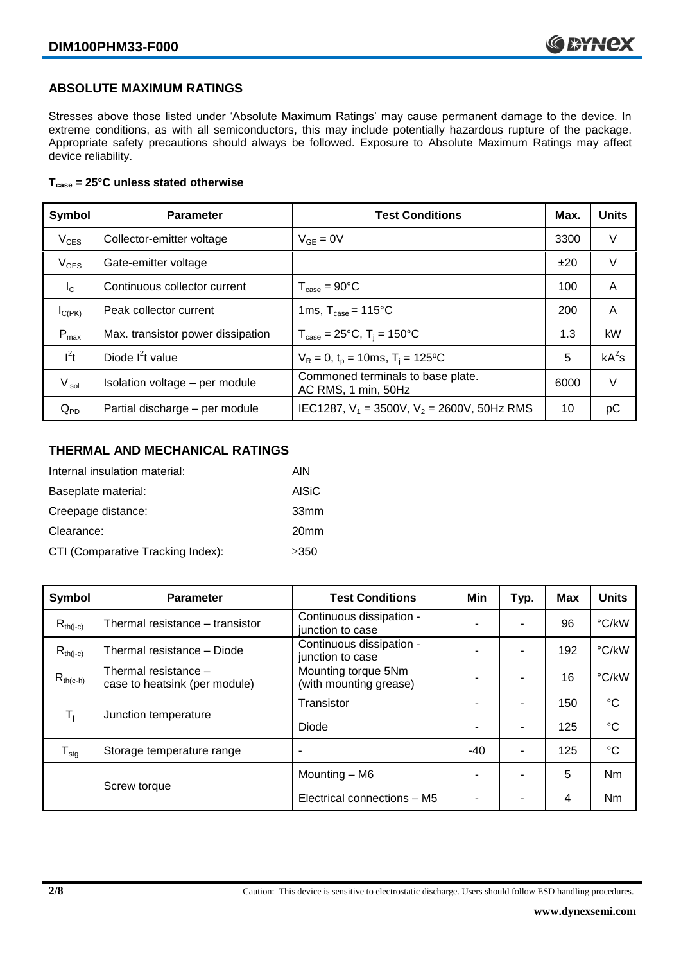# **ABSOLUTE MAXIMUM RATINGS**

Stresses above those listed under 'Absolute Maximum Ratings' may cause permanent damage to the device. In extreme conditions, as with all semiconductors, this may include potentially hazardous rupture of the package. Appropriate safety precautions should always be followed. Exposure to Absolute Maximum Ratings may affect device reliability.

## **Tcase = 25°C unless stated otherwise**

| Symbol           | <b>Parameter</b>                  | <b>Test Conditions</b>                                   | Max. | <b>Units</b> |
|------------------|-----------------------------------|----------------------------------------------------------|------|--------------|
| $V_{CES}$        | Collector-emitter voltage         | $V_{GF} = 0V$                                            | 3300 | $\vee$       |
| $V_{GES}$        | Gate-emitter voltage              |                                                          | ±20  | V            |
| $I_{\rm C}$      | Continuous collector current      | $T_{\text{case}} = 90^{\circ}$ C                         | 100  | A            |
| $I_{C(PK)}$      | Peak collector current            | 1ms, $T_{\text{case}} = 115^{\circ}$ C                   | 200  | A            |
| $P_{\text{max}}$ | Max. transistor power dissipation | $T_{\text{case}} = 25^{\circ}C$ , $T_i = 150^{\circ}C$   | 1.3  | kW           |
| $l^2t$           | Diode $I2t$ value                 | $V_R = 0$ , $t_p = 10$ ms, T <sub>i</sub> = 125°C        | 5    | $kA^2s$      |
| $V_{\sf isol}$   | Isolation voltage - per module    | Commoned terminals to base plate.<br>AC RMS, 1 min, 50Hz | 6000 | $\vee$       |
| $Q_{PD}$         | Partial discharge - per module    | IEC1287, $V_1 = 3500V$ , $V_2 = 2600V$ , 50Hz RMS        | 10   | рC           |

# **THERMAL AND MECHANICAL RATINGS**

| Internal insulation material:     | AIN              |
|-----------------------------------|------------------|
| Baseplate material:               | <b>AISiC</b>     |
| Creepage distance:                | 33mm             |
| Clearance:                        | 20 <sub>mm</sub> |
| CTI (Comparative Tracking Index): | $\geq$ 350       |

| Symbol                     | <b>Parameter</b>                                      | <b>Test Conditions</b>                        | Min   | Typ.                     | <b>Max</b> | <b>Units</b> |
|----------------------------|-------------------------------------------------------|-----------------------------------------------|-------|--------------------------|------------|--------------|
| $R_{th(j-c)}$              | Thermal resistance - transistor                       | Continuous dissipation -<br>junction to case  |       |                          | 96         | °C/kW        |
| $R_{th(j-c)}$              | Thermal resistance - Diode                            | Continuous dissipation -<br>junction to case  |       | ۰                        | 192        | °C/kW        |
| $R_{th(c-h)}$              | Thermal resistance -<br>case to heatsink (per module) | Mounting torque 5Nm<br>(with mounting grease) |       | ۰                        | 16         | °C/kW        |
| $\mathsf{T}_{\mathsf{i}}$  | Junction temperature                                  | Transistor                                    |       | ۰                        | 150        | $^{\circ}C$  |
|                            |                                                       | Diode                                         |       | ۰                        | 125        | $^{\circ}C$  |
| ${\mathsf T}_{\text{stg}}$ | Storage temperature range                             | ٠                                             | $-40$ | ۰                        | 125        | $^{\circ}C$  |
|                            |                                                       | Mounting - M6                                 | -     | $\overline{\phantom{0}}$ | 5          | Nm           |
|                            | Screw torque                                          | Electrical connections - M5                   | ۰     |                          | 4          | Nm           |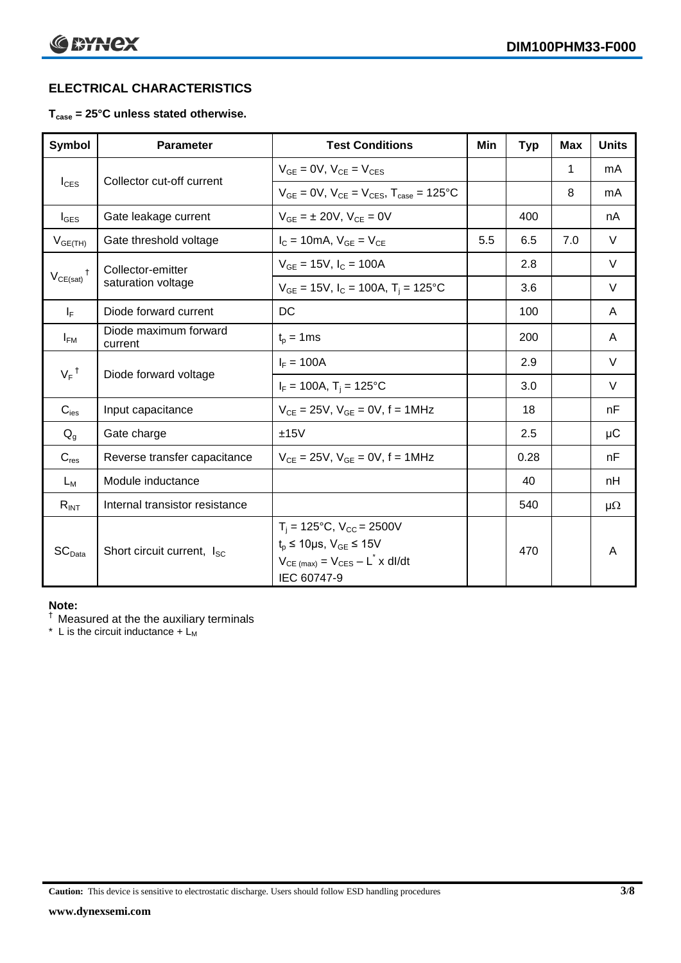# **ELECTRICAL CHARACTERISTICS**

# **Tcase = 25°C unless stated otherwise.**

| Symbol             | <b>Parameter</b>                       | <b>Test Conditions</b>                                                                                                                           | Min | <b>Typ</b> | Max | <b>Units</b> |
|--------------------|----------------------------------------|--------------------------------------------------------------------------------------------------------------------------------------------------|-----|------------|-----|--------------|
| $I_{\text{CES}}$   | Collector cut-off current              | $V_{GF} = 0V$ , $V_{CE} = V_{CES}$                                                                                                               |     |            | 1   | mA           |
|                    |                                        | $V_{GF} = 0V$ , $V_{CF} = V_{CES}$ , $T_{case} = 125^{\circ}C$                                                                                   |     |            | 8   | mA           |
| $I_{\text{GES}}$   | Gate leakage current                   | $V_{GF} = \pm 20V$ , $V_{CF} = 0V$                                                                                                               |     | 400        |     | nA           |
| $V_{GE(TH)}$       | Gate threshold voltage                 | $I_C = 10mA$ , $V_{GE} = V_{CE}$                                                                                                                 | 5.5 | 6.5        | 7.0 | $\vee$       |
|                    | Collector-emitter                      | $V_{GE}$ = 15V, $I_C$ = 100A                                                                                                                     |     | 2.8        |     | V            |
| $V_{CE(sat)}$      | saturation voltage                     | $V_{GE}$ = 15V, $I_C$ = 100A, $T_i$ = 125°C                                                                                                      |     | 3.6        |     | V            |
| $I_F$              | Diode forward current                  | DC                                                                                                                                               |     | 100        |     | A            |
| $I_{FM}$           | Diode maximum forward<br>current       | $t_{p} = 1$ ms                                                                                                                                   |     | 200        |     | A            |
| $V_F$ <sup>†</sup> |                                        | $I_F = 100A$                                                                                                                                     |     | 2.9        |     | $\vee$       |
|                    | Diode forward voltage                  | $I_F = 100A$ , T <sub>i</sub> = 125°C                                                                                                            |     | 3.0        |     | $\vee$       |
| $C_{\text{ies}}$   | Input capacitance                      | $V_{CE} = 25V$ , $V_{GE} = 0V$ , f = 1MHz                                                                                                        |     | 18         |     | nF           |
| $Q_q$              | Gate charge                            | ±15V                                                                                                                                             |     | 2.5        |     | μC           |
| $C_{res}$          | Reverse transfer capacitance           | $V_{CE} = 25V$ , $V_{GE} = 0V$ , f = 1MHz                                                                                                        |     | 0.28       |     | nF           |
| $L_M$              | Module inductance                      |                                                                                                                                                  |     | 40         |     | nH           |
| $R_{INT}$          | Internal transistor resistance         |                                                                                                                                                  |     | 540        |     | $\mu\Omega$  |
| SC <sub>Data</sub> | Short circuit current, I <sub>SC</sub> | $T_i = 125$ °C, $V_{CC} = 2500V$<br>$t_p \le 10 \mu s$ , $V_{GE} \le 15 V$<br>$V_{CE \text{ (max)}} = V_{CES} - L^* \times dl/dt$<br>IEC 60747-9 |     | 470        |     | A            |

#### **Note:**

† Measured at the the auxiliary terminals

\* L is the circuit inductance  $+ L_M$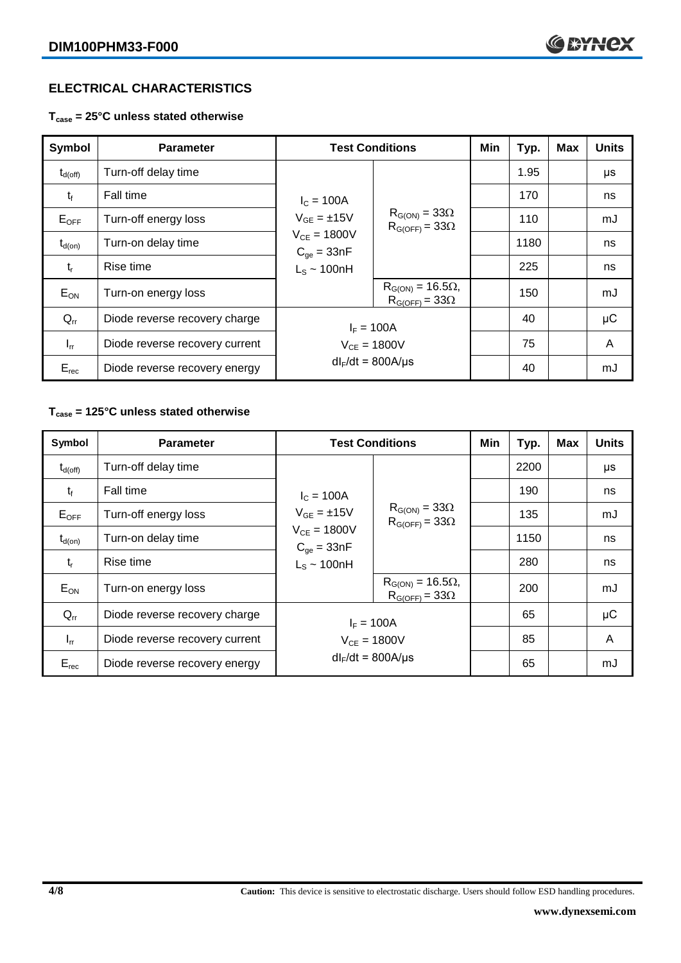# **ELECTRICAL CHARACTERISTICS**

**Tcase = 25°C unless stated otherwise**

| <b>Symbol</b>      | <b>Parameter</b>               | <b>Test Conditions</b>                                                                         |                                                      | Min | Typ. | <b>Max</b> | <b>Units</b> |
|--------------------|--------------------------------|------------------------------------------------------------------------------------------------|------------------------------------------------------|-----|------|------------|--------------|
| $\rm t_{d(off)}$   | Turn-off delay time            | $I_c = 100A$<br>$V_{GE} = \pm 15V$<br>$V_{CE} = 1800V$<br>$C_{qe} = 33nF$<br>$L_s \sim 100$ nH | $R_{G(ON)} = 33\Omega$<br>$R_{G(OFF)} = 33\Omega$    |     | 1.95 |            | μs           |
| $t_{\rm f}$        | <b>Fall time</b>               |                                                                                                |                                                      |     | 170  |            | ns           |
| $E_{\mathsf{OFF}}$ | Turn-off energy loss           |                                                                                                |                                                      |     | 110  |            | mJ           |
| $t_{d(on)}$        | Turn-on delay time             |                                                                                                |                                                      |     | 1180 |            | ns           |
| $t_{r}$            | Rise time                      |                                                                                                |                                                      |     | 225  |            | ns           |
| $E_{ON}$           | Turn-on energy loss            |                                                                                                | $R_{G(ON)} = 16.5\Omega,$<br>$R_{G(OFF)} = 33\Omega$ |     | 150  |            | mJ           |
| $Q_{rr}$           | Diode reverse recovery charge  | $I_F = 100A$                                                                                   |                                                      |     | 40   |            | $\mu$ C      |
| $I_{rr}$           | Diode reverse recovery current | $V_{CE} = 1800V$                                                                               |                                                      |     | 75   |            | A            |
| $E_{rec}$          | Diode reverse recovery energy  | $dl_F/dt = 800A/\mu s$                                                                         |                                                      |     | 40   |            | mJ           |

# **Tcase = 125°C unless stated otherwise**

| Symbol              | <b>Parameter</b>               |                                                                                                  | <b>Test Conditions</b>                               | Min | Typ. | <b>Max</b> | <b>Units</b> |
|---------------------|--------------------------------|--------------------------------------------------------------------------------------------------|------------------------------------------------------|-----|------|------------|--------------|
| $t_{d(\text{off})}$ | Turn-off delay time            | $I_{C} = 100A$<br>$V_{GE} = \pm 15V$<br>$V_{CE} = 1800V$<br>$C_{qe} = 33nF$<br>$L_s \sim 100$ nH | $R_{G(ON)} = 33\Omega$<br>$R_{G(OFF)} = 33\Omega$    |     | 2200 |            | μs           |
| $t_{\rm f}$         | Fall time                      |                                                                                                  |                                                      |     | 190  |            | ns           |
| $E_{OFF}$           | Turn-off energy loss           |                                                                                                  |                                                      |     | 135  |            | mJ           |
| $t_{d(on)}$         | Turn-on delay time             |                                                                                                  |                                                      |     | 1150 |            | ns           |
| $t_{r}$             | Rise time                      |                                                                                                  |                                                      |     | 280  |            | ns           |
| $E_{ON}$            | Turn-on energy loss            |                                                                                                  | $R_{G(ON)} = 16.5\Omega,$<br>$R_{G(OFF)} = 33\Omega$ |     | 200  |            | mJ           |
| $Q_{rr}$            | Diode reverse recovery charge  | $I_F = 100A$                                                                                     |                                                      |     | 65   |            | $\mu$ C      |
| $I_{rr}$            | Diode reverse recovery current |                                                                                                  | $V_{CE} = 1800V$                                     |     | 85   |            | A            |
| $E_{rec}$           | Diode reverse recovery energy  | $dl_F/dt = 800A/\mu s$                                                                           |                                                      |     | 65   |            | mJ           |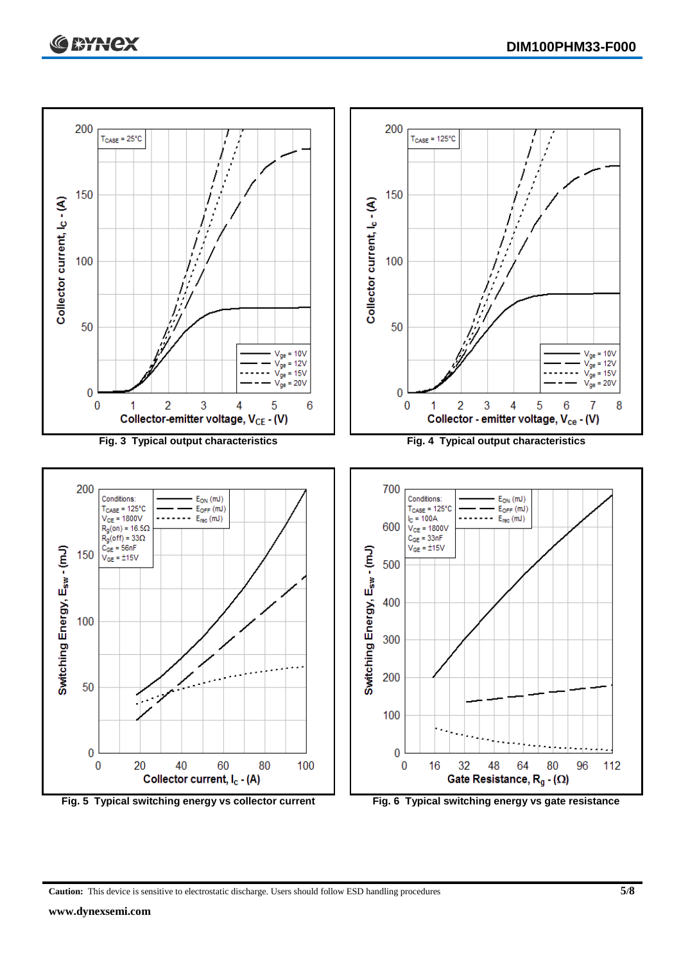

**Caution:** This device is sensitive to electrostatic discharge. Users should follow ESD handling procedures **5/8**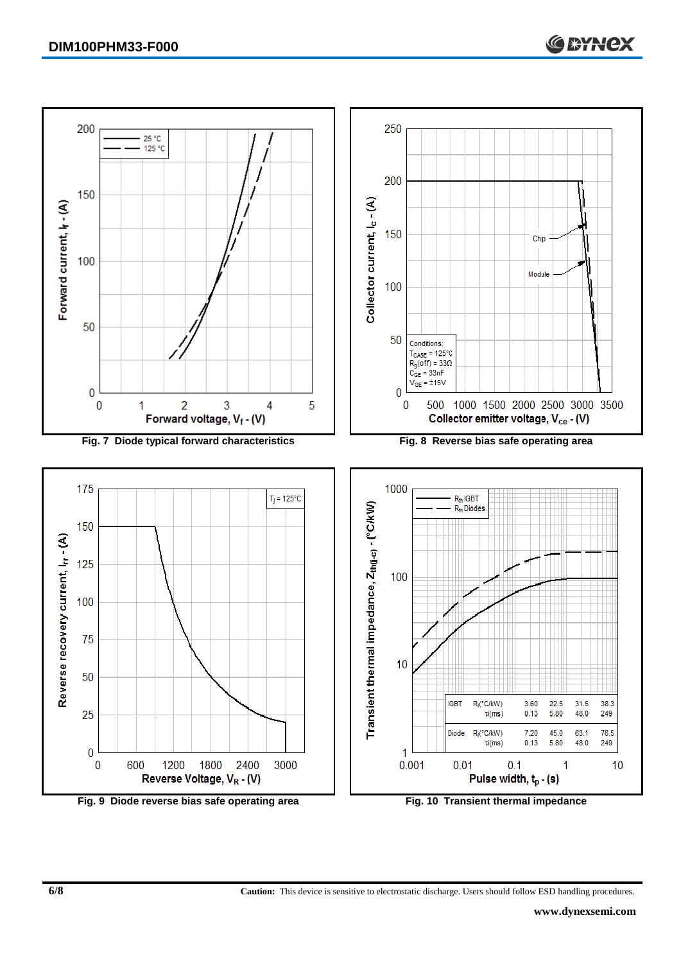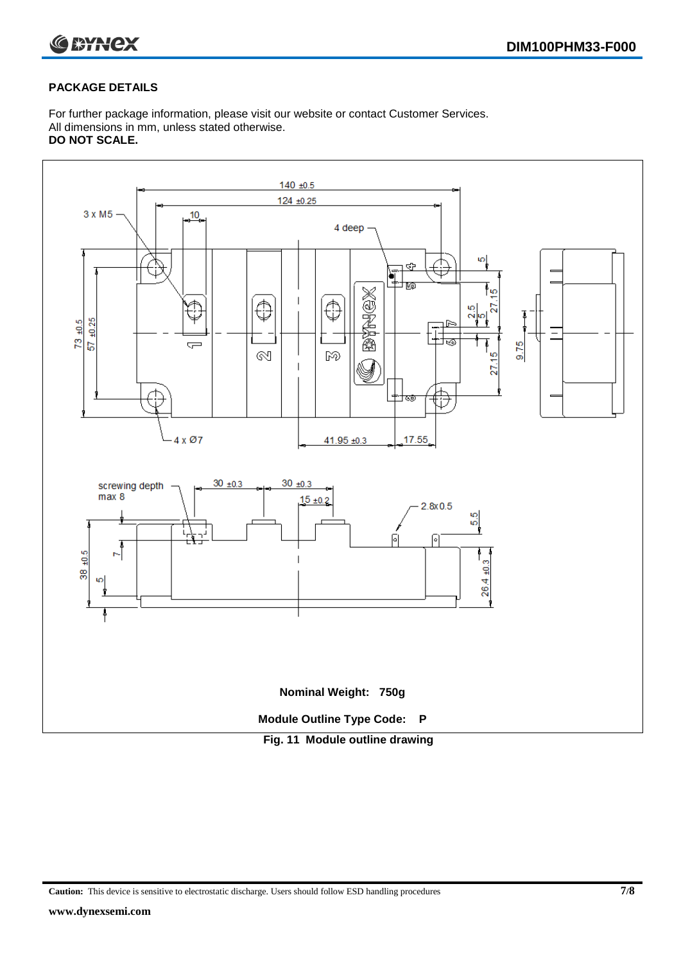

# **PACKAGE DETAILS**

For further package information, please visit our website or contact Customer Services. All dimensions in mm, unless stated otherwise. **DO NOT SCALE.**



**Caution:** This device is sensitive to electrostatic discharge. Users should follow ESD handling procedures **7/8**